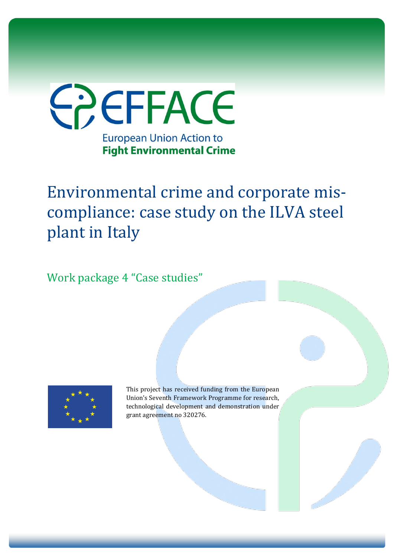

Environmental crime and corporate miscompliance: case study on the ILVA steel plant in Italy

Work package 4 "Case studies"



This project has received funding from the European Union's Seventh Framework Programme for research, technological development and demonstration under grant agreement no 320276.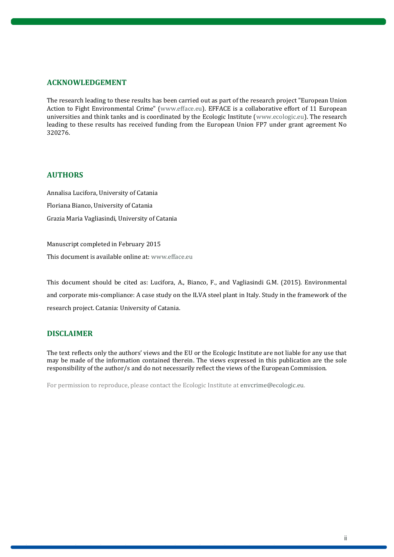#### **ACKNOWLEDGEMENT**

The research leading to these results has been carried out as part of the research project "European Union Action to Fight Environmental Crime" [\(www.efface.eu\)](http://www.efface.eu/). EFFACE is a collaborative effort of 11 European universities and think tanks and is coordinated by the Ecologic Institute [\(www.ecologic.eu\)](http://www.ecologic.eu/). The research leading to these results has received funding from the European Union FP7 under grant agreement No 320276.

#### **AUTHORS**

Annalisa Lucifora, University of Catania Floriana Bianco, University of Catania Grazia Maria Vagliasindi, University of Catania

Manuscript completed in February 2015 This document is available online at[: www.efface.eu](http://www.efface.eu/)

This document should be cited as: Lucifora, A., Bianco, F., and Vagliasindi G.M. (2015). Environmental and corporate mis-compliance: A case study on the ILVA steel plant in Italy. Study in the framework of the research project. Catania: University of Catania.

#### **DISCLAIMER**

The text reflects only the authors' views and the EU or the Ecologic Institute are not liable for any use that may be made of the information contained therein. The views expressed in this publication are the sole responsibility of the author/s and do not necessarily reflect the views of the European Commission.

For permission to reproduce, please contact the Ecologic Institute at enverime@ecologic.eu.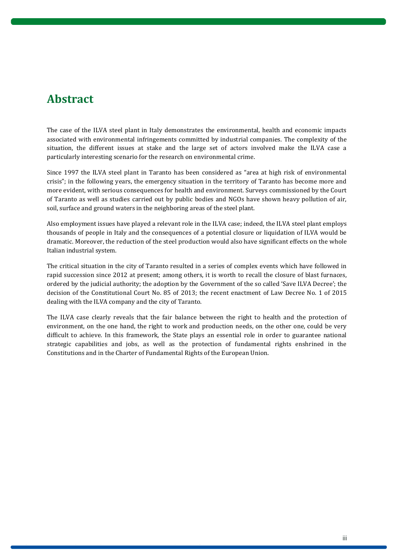# **Abstract**

The case of the ILVA steel plant in Italy demonstrates the environmental, health and economic impacts associated with environmental infringements committed by industrial companies. The complexity of the situation, the different issues at stake and the large set of actors involved make the ILVA case a particularly interesting scenario for the research on environmental crime.

Since 1997 the ILVA steel plant in Taranto has been considered as "area at high risk of environmental crisis"; in the following years, the emergency situation in the territory of Taranto has become more and more evident, with serious consequences for health and environment. Surveys commissioned by the Court of Taranto as well as studies carried out by public bodies and NGOs have shown heavy pollution of air, soil, surface and ground waters in the neighboring areas of the steel plant.

Also employment issues have played a relevant role in the ILVA case; indeed, the ILVA steel plant employs thousands of people in Italy and the consequences of a potential closure or liquidation of ILVA would be dramatic. Moreover, the reduction of the steel production would also have significant effects on the whole Italian industrial system.

The critical situation in the city of Taranto resulted in a series of complex events which have followed in rapid succession since 2012 at present; among others, it is worth to recall the closure of blast furnaces, ordered by the judicial authority; the adoption by the Government of the so called 'Save ILVA Decree'; the decision of the Constitutional Court No. 85 of 2013; the recent enactment of Law Decree No. 1 of 2015 dealing with the ILVA company and the city of Taranto.

The ILVA case clearly reveals that the fair balance between the right to health and the protection of environment, on the one hand, the right to work and production needs, on the other one, could be very difficult to achieve. In this framework, the State plays an essential role in order to guarantee national strategic capabilities and jobs, as well as the protection of fundamental rights enshrined in the Constitutions and in the Charter of Fundamental Rights of the European Union.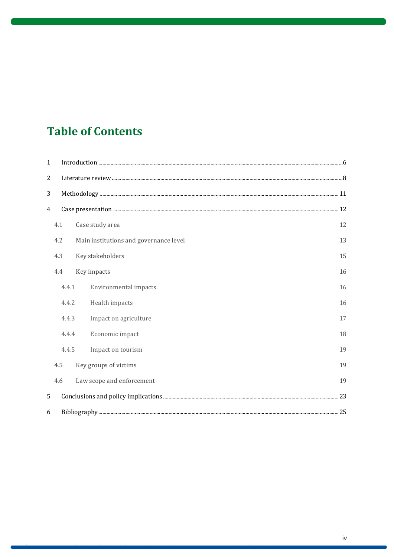# **Table of Contents**

| $\mathbf{1}$ |       |                                        |    |  |
|--------------|-------|----------------------------------------|----|--|
| 2            |       |                                        |    |  |
| 3            |       |                                        |    |  |
| 4            |       |                                        |    |  |
|              | 4.1   | Case study area                        | 12 |  |
|              | 4.2   | Main institutions and governance level | 13 |  |
|              | 4.3   | Key stakeholders                       | 15 |  |
|              | 4.4   | Key impacts                            | 16 |  |
|              | 4.4.1 | Environmental impacts                  | 16 |  |
|              | 4.4.2 | Health impacts                         | 16 |  |
|              | 4.4.3 | Impact on agriculture                  | 17 |  |
|              | 4.4.4 | Economic impact                        | 18 |  |
|              | 4.4.5 | Impact on tourism                      | 19 |  |
|              | 4.5   | Key groups of victims                  | 19 |  |
|              | 4.6   | Law scope and enforcement              | 19 |  |
| 5            |       |                                        |    |  |
| 6            |       |                                        |    |  |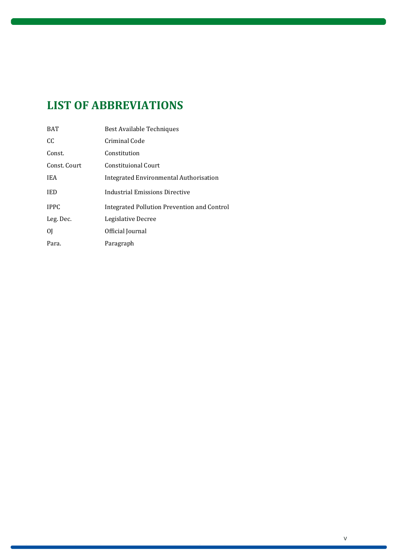# **LIST OF ABBREVIATIONS**

| <b>BAT</b>   | <b>Best Available Techniques</b>            |
|--------------|---------------------------------------------|
| CC.          | Criminal Code                               |
| Const.       | Constitution                                |
| Const. Court | Constituional Court                         |
| <b>IEA</b>   | Integrated Environmental Authorisation      |
| <b>IED</b>   | Industrial Emissions Directive              |
| <b>IPPC</b>  | Integrated Pollution Prevention and Control |
| Leg. Dec.    | Legislative Decree                          |
| 0I           | Official Journal                            |
| Para.        | Paragraph                                   |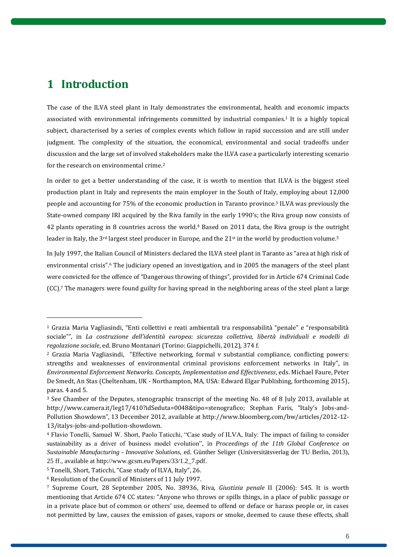## <span id="page-5-0"></span>**1 Introduction**

 $\overline{a}$ 

The case of the ILVA steel plant in Italy demonstrates the environmental, health and economic impacts associated with environmental infringements committed by industrial companies. <sup>1</sup> It is a highly topical subject, characterised by a series of complex events which follow in rapid succession and are still under judgment. The complexity of the situation, the economical, environmental and social tradeoffs under discussion and the large set of involved stakeholders make the ILVA case a particularly interesting scenario for the research on environmental crime. 2

In order to get a better understanding of the case, it is worth to mention that ILVA is the biggest steel production plant in Italy and represents the main employer in the South of Italy, employing about 12,000 people and accounting for 75% of the economic production in Taranto province.<sup>3</sup> ILVA was previously the State-owned company IRI acquired by the Riva family in the early 1990's; the Riva group now consists of 42 plants operating in 8 countries across the world.<sup>4</sup> Based on 2011 data, the Riva group is the outright leader in Italy, the 3rd largest steel producer in Europe, and the 21st in the world by production volume. 5

In July 1997, the Italian Council of Ministers declared the ILVA steel plant in Taranto as "area at high risk of environmental crisis". <sup>6</sup> The judiciary opened an investigation, and in 2005 the managers of the steel plant were convicted for the offence of "Dangerous throwing of things", provided for in Article 674 Criminal Code (CC). <sup>7</sup> The managers were found guilty for having spread in the neighboring areas of the steel plant a large

<sup>1</sup> Grazia Maria Vagliasindi, "Enti collettivi e reati ambientali tra responsabilità "penale" e "responsabilità sociale"", in *La costruzione dell'identità europea: sicurezza collettiva, libertà individuali e modelli di regolazione sociale*, ed. Bruno Montanari (Torino: Giappichelli, 2012), 374 f.

<sup>2</sup> Grazia Maria Vagliasindi, "Effective networking, formal v substantial compliance, conflicting powers: strengths and weaknesses of environmental criminal provisions enforcement networks in Italy", in *Environmental Enforcement Networks. Concepts, Implementation and Effectiveness*, eds. Michael Faure, Peter De Smedt, An Stas (Cheltenham, UK - Northampton, MA, USA: Edward Elgar Publishing, forthcoming 2015), paras. 4 and 5.

<sup>3</sup> See Chamber of the Deputes, stenographic transcript of the meeting No. 48 of 8 July 2013, available at http://www.camera.it/leg17/410?idSeduta=0048&tipo=stenografico; Stephan Faris, "Italy's Jobs-and-Pollution Showdown", 13 December 2012, available at [http://www.bloomberg.com/bw/articles/2012-12-](http://www.bloomberg.com/bw/articles/2012-12-13/italys-jobs-and-pollution-showdown) [13/italys-jobs-and-pollution-showdown.](http://www.bloomberg.com/bw/articles/2012-12-13/italys-jobs-and-pollution-showdown)

<sup>4</sup> Flavio Tonelli, Samuel W. Short, Paolo Taticchi, "Case study of ILVA, Italy: The impact of failing to consider sustainability as a driver of business model evolution", in *Proceedings of the 11th Global Conference on Sustainable Manufacturing - Innovative Solutions,* ed. Günther Seliger (Universitätsverlag der TU Berlin, 2013), 25 ff., available at [http://www.gcsm.eu/Papers/33/1.2\\_7.pdf.](http://www.gcsm.eu/Papers/33/1.2_7.pdf)

<sup>5</sup> Tonelli, Short, Taticchi, "Case study of ILVA, Italy", 26.

<sup>6</sup> Resolution of the Council of Ministers of 11 July 1997.

<sup>7</sup> Supreme Court, 28 September 2005, No. 38936, Riva, *Giustizia penale* II (2006): 545. It is worth mentioning that Article 674 CC states: "Anyone who throws or spills things, in a place of public passage or in a private place but of common or others' use, deemed to offend or deface or harass people or, in cases not permitted by law, causes the emission of gases, vapors or smoke, deemed to cause these effects, shall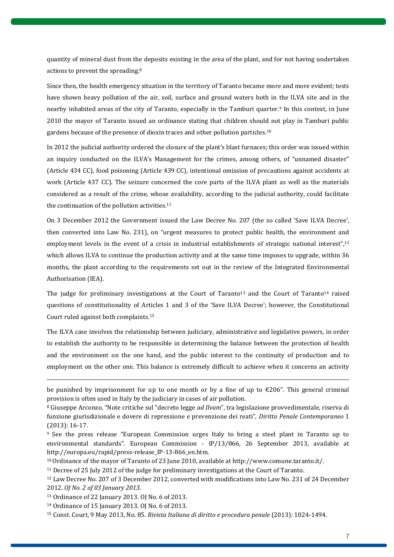quantity of mineral dust from the deposits existing in the area of the plant, and for not having undertaken actions to prevent the spreading.<sup>8</sup>

Since then, the health emergency situation in the territory of Taranto became more and more evident; tests have shown heavy pollution of the air, soil, surface and ground waters both in the ILVA site and in the nearby inhabited areas of the city of Taranto, especially in the Tamburi quarter.<sup>9</sup> In this context, in June 2010 the mayor of Taranto issued an ordinance stating that children should not play in Tamburi public gardens because of the presence of dioxin traces and other pollution particles. 10

In 2012 the judicial authority ordered the closure of the plant's blast furnaces; this order was issued within an inquiry conducted on the ILVA's Management for the crimes, among others, of "unnamed disaster" (Article 434 CC), food poisoning (Article 439 CC), intentional omission of precautions against accidents at work (Article 437 CC). The seizure concerned the core parts of the ILVA plant as well as the materials considered as a result of the crime, whose availability, according to the judicial authority, could facilitate the continuation of the pollution activities.<sup>11</sup>

On 3 December 2012 the Government issued the Law Decree No. 207 (the so called 'Save ILVA Decree', then converted into Law No. 231), on "urgent measures to protect public health, the environment and employment levels in the event of a crisis in industrial establishments of strategic national interest",<sup>12</sup> which allows ILVA to continue the production activity and at the same time imposes to upgrade, within 36 months, the plant according to the requirements set out in the review of the Integrated Environmental Authorisation (IEA).

The judge for preliminary investigations at the Court of Taranto<sup>13</sup> and the Court of Taranto<sup>14</sup> raised questions of constitutionality of Articles 1 and 3 of the 'Save ILVA Decree'; however, the Constitutional Court ruled against both complaints. 15

The ILVA case involves the relationship between judiciary, administrative and legislative powers, in order to establish the authority to be responsible in determining the balance between the protection of health and the environment on the one hand, and the public interest to the continuity of production and to employment on the other one. This balance is extremely difficult to achieve when it concerns an activity

be punished by imprisonment for up to one month or by a fine of up to  $\epsilon$ 206". This general criminal provision is often used in Italy by the judiciary in cases of air pollution.

<sup>8</sup> Giuseppe Arconzo, "Note critiche sul "decreto legge *ad Ilvam*", tra legislazione provvedimentale, riserva di funzione giurisdizionale e dovere di repressione e prevenzione dei reati", *Diritto Penale Contemporaneo* 1 (2013): 16-17.

<sup>9</sup> See the press release "European Commission urges Italy to bring a steel plant in Taranto up to environmental standards". European Commission - IP/13/866, 26 September 2013, available at [http://europa.eu/rapid/press-release\\_IP-13-866\\_en.htm.](http://europa.eu/rapid/press-release_IP-13-866_en.htm)

<sup>&</sup>lt;sup>10</sup> Ordinance of the mayor of Taranto of 23 June 2010, available a[t http://www.comune.taranto.it/.](http://www.comune.taranto.it/)

<sup>11</sup> Decree of 25 July 2012 of the judge for preliminary investigations at the Court of Taranto.

<sup>12</sup> Law Decree No. 207 of 3 December 2012, converted with modifications into Law No. 231 of 24 December 2012. *OJ No. 2 of 03 January 2013*.

<sup>13</sup> Ordinance of 22 January 2013. OJ No. 6 of 2013.

<sup>14</sup> Ordinance of 15 January 2013. OJ No. 6 of 2013.

<sup>15</sup> Const. Court, 9 May 2013, No. 85. *Rivista Italiana di diritto e procedura penale* (2013): 1024-1494.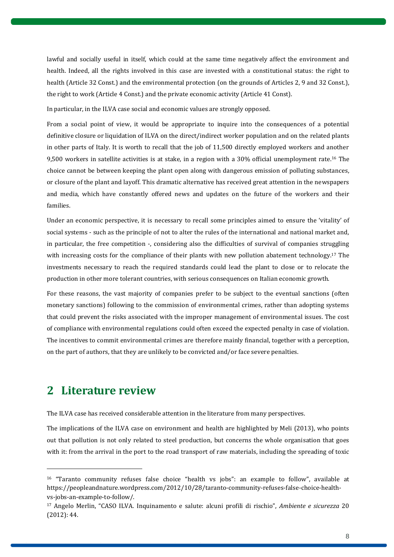lawful and socially useful in itself, which could at the same time negatively affect the environment and health. Indeed, all the rights involved in this case are invested with a constitutional status: the right to health (Article 32 Const.) and the environmental protection (on the grounds of Articles 2, 9 and 32 Const.), the right to work (Article 4 Const.) and the private economic activity (Article 41 Const).

In particular, in the ILVA case social and economic values are strongly opposed.

From a social point of view, it would be appropriate to inquire into the consequences of a potential definitive closure or liquidation of ILVA on the direct/indirect worker population and on the related plants in other parts of Italy. It is worth to recall that the job of 11,500 directly employed workers and another 9,500 workers in satellite activities is at stake, in a region with a 30% official unemployment rate.<sup>16</sup> The choice cannot be between keeping the plant open along with dangerous emission of polluting substances, or closure of the plant and layoff. This dramatic alternative has received great attention in the newspapers and media, which have constantly offered news and updates on the future of the workers and their families.

Under an economic perspective, it is necessary to recall some principles aimed to ensure the 'vitality' of social systems - such as the principle of not to alter the rules of the international and national market and, in particular, the free competition -, considering also the difficulties of survival of companies struggling with increasing costs for the compliance of their plants with new pollution abatement technology.<sup>17</sup> The investments necessary to reach the required standards could lead the plant to close or to relocate the production in other more tolerant countries, with serious consequences on Italian economic growth.

For these reasons, the vast majority of companies prefer to be subject to the eventual sanctions (often monetary sanctions) following to the commission of environmental crimes, rather than adopting systems that could prevent the risks associated with the improper management of environmental issues. The cost of compliance with environmental regulations could often exceed the expected penalty in case of violation. The incentives to commit environmental crimes are therefore mainly financial, together with a perception, on the part of authors, that they are unlikely to be convicted and/or face severe penalties.

# <span id="page-7-0"></span>**2 Literature review**

 $\overline{a}$ 

The ILVA case has received considerable attention in the literature from many perspectives.

The implications of the ILVA case on environment and health are highlighted by Meli (2013), who points out that pollution is not only related to steel production, but concerns the whole organisation that goes with it: from the arrival in the port to the road transport of raw materials, including the spreading of toxic

<sup>16</sup> "Taranto community refuses false choice "health vs jobs": an example to follow", available at https://peopleandnature.wordpress.com/2012/10/28/taranto-community-refuses-false-choice-healthvs-jobs-an-example-to-follow/.

<sup>17</sup> Angelo Merlin, "CASO ILVA. Inquinamento e salute: alcuni profili di rischio", *Ambiente e sicurezza* 20 (2012): 44.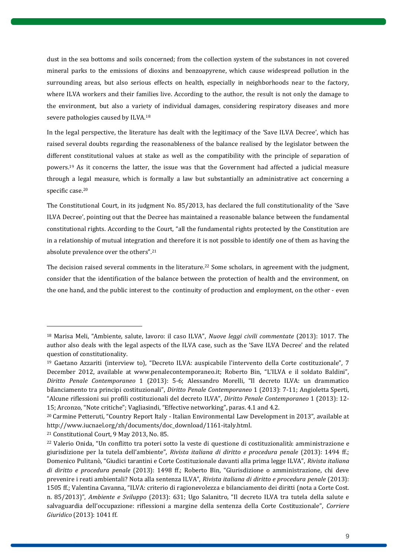dust in the sea bottoms and soils concerned; from the collection system of the substances in not covered mineral parks to the emissions of dioxins and benzoapyrene, which cause widespread pollution in the surrounding areas, but also serious effects on health, especially in neighborhoods near to the factory, where ILVA workers and their families live. According to the author, the result is not only the damage to the environment, but also a variety of individual damages, considering respiratory diseases and more severe pathologies caused by ILVA. 18

In the legal perspective, the literature has dealt with the legitimacy of the 'Save ILVA Decree', which has raised several doubts regarding the reasonableness of the balance realised by the legislator between the different constitutional values at stake as well as the compatibility with the principle of separation of powers. <sup>19</sup> As it concerns the latter, the issue was that the Government had affected a judicial measure through a legal measure, which is formally a law but substantially an administrative act concerning a specific case. 20

The Constitutional Court, in its judgment No. 85/2013, has declared the full constitutionality of the 'Save ILVA Decree', pointing out that the Decree has maintained a reasonable balance between the fundamental constitutional rights. According to the Court, "all the fundamental rights protected by the Constitution are in a relationship of mutual integration and therefore it is not possible to identify one of them as having the absolute prevalence over the others".<sup>21</sup>

The decision raised several comments in the literature.<sup>22</sup> Some scholars, in agreement with the judgment, consider that the identification of the balance between the protection of health and the environment, on the one hand, and the public interest to the continuity of production and employment, on the other - even

<sup>18</sup> Marisa Meli, "Ambiente, salute, lavoro: il caso ILVA", *Nuove leggi civili commentate* (2013): 1017. The author also deals with the legal aspects of the ILVA case, such as the 'Save ILVA Decree' and the related question of constitutionality.

<sup>19</sup> Gaetano Azzariti (interview to), "Decreto ILVA: auspicabile l'intervento della Corte costituzionale", 7 December 2012, available at [www.penalecontemporaneo.it](http://www.penalecontemporaneo.it/); Roberto Bin, "L'ILVA e il soldato Baldini", *Diritto Penale Contemporaneo* 1 (2013): 5-6; Alessandro Morelli, "Il decreto ILVA: un drammatico bilanciamento tra principi costituzionali", *Diritto Penale Contemporaneo* 1 (2013): 7-11; Angioletta Sperti, "Alcune riflessioni sui profili costituzionali del decreto ILVA", *Diritto Penale Contemporaneo* 1 (2013): 12- 15; Arconzo, "Note critiche"; Vagliasindi, "Effective networking", paras. 4.1 and 4.2.

<sup>20</sup> Carmine Petteruti, "Country Report Italy - Italian Environmental Law Development in 2013", available at http://www.iucnael.org/zh/documents/doc\_download/1161-italy.html.

<sup>21</sup> Constitutional Court, 9 May 2013, No. 85.

<sup>22</sup> Valerio Onida, "Un conflitto tra poteri sotto la veste di questione di costituzionalità: amministrazione e giurisdizione per la tutela dell'ambiente", *Rivista italiana di diritto e procedura penale* (2013): 1494 ff.; Domenico Pulitanò, "Giudici tarantini e Corte Costituzionale davanti alla prima legge ILVA", *Rivista italiana di diritto e procedura penale* (2013): 1498 ff.; Roberto Bin, "Giurisdizione o amministrazione, chi deve prevenire i reati ambientali? Nota alla sentenza ILVA", *Rivista italiana di diritto e procedura penale* (2013): 1505 ff.; Valentina Cavanna, "ILVA: criterio di ragionevolezza e bilanciamento dei diritti (nota a Corte Cost. n. 85/2013)", *Ambiente e Sviluppo* (2013): 631; Ugo Salanitro, "Il decreto ILVA tra tutela della salute e salvaguardia dell'occupazione: riflessioni a margine della sentenza della Corte Costituzionale", *Corriere Giuridico* (2013): 1041 ff.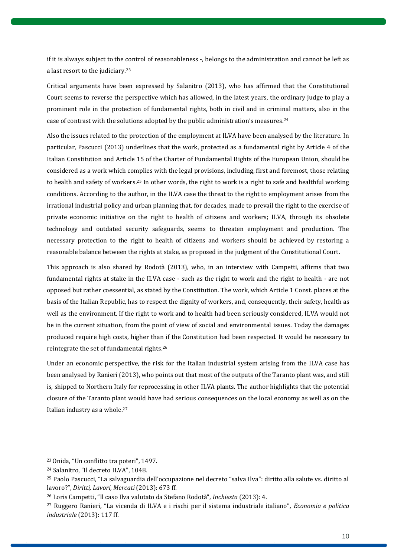if it is always subject to the control of reasonableness -, belongs to the administration and cannot be left as a last resort to the judiciary.<sup>23</sup>

Critical arguments have been expressed by Salanitro (2013), who has affirmed that the Constitutional Court seems to reverse the perspective which has allowed, in the latest years, the ordinary judge to play a prominent role in the protection of fundamental rights, both in civil and in criminal matters, also in the case of contrast with the solutions adopted by the public administration's measures. 24

Also the issues related to the protection of the employment at ILVA have been analysed by the literature. In particular, Pascucci (2013) underlines that the work, protected as a fundamental right by Article 4 of the Italian Constitution and Article 15 of the Charter of Fundamental Rights of the European Union, should be considered as a work which complies with the legal provisions, including, first and foremost, those relating to health and safety of workers.<sup>25</sup> In other words, the right to work is a right to safe and healthful working conditions. According to the author, in the ILVA case the threat to the right to employment arises from the irrational industrial policy and urban planning that, for decades, made to prevail the right to the exercise of private economic initiative on the right to health of citizens and workers; ILVA, through its obsolete technology and outdated security safeguards, seems to threaten employment and production. The necessary protection to the right to health of citizens and workers should be achieved by restoring a reasonable balance between the rights at stake, as proposed in the judgment of the Constitutional Court.

This approach is also shared by Rodotà (2013), who, in an interview with Campetti, affirms that two fundamental rights at stake in the ILVA case - such as the right to work and the right to health - are not opposed but rather coessential, as stated by the Constitution. The work, which Article 1 Const. places at the basis of the Italian Republic, has to respect the dignity of workers, and, consequently, their safety, health as well as the environment. If the right to work and to health had been seriously considered, ILVA would not be in the current situation, from the point of view of social and environmental issues. Today the damages produced require high costs, higher than if the Constitution had been respected. It would be necessary to reintegrate the set of fundamental rights. 26

Under an economic perspective, the risk for the Italian industrial system arising from the ILVA case has been analysed by Ranieri (2013), who points out that most of the outputs of the Taranto plant was, and still is, shipped to Northern Italy for reprocessing in other ILVA plants. The author highlights that the potential closure of the Taranto plant would have had serious consequences on the local economy as well as on the Italian industry as a whole.<sup>27</sup>

<sup>23</sup>Onida, "Un conflitto tra poteri", 1497.

<sup>24</sup> Salanitro, "Il decreto ILVA", 1048.

<sup>25</sup> Paolo Pascucci, "La salvaguardia dell'occupazione nel decreto "salva Ilva": diritto alla salute vs. diritto al lavoro?", *Diritti, Lavori, Mercati* (2013): 673 ff.

<sup>26</sup> Loris Campetti, "Il caso Ilva valutato da Stefano Rodotà", *Inchiesta* (2013): 4.

<sup>27</sup> Ruggero Ranieri, "La vicenda di ILVA e i rischi per il sistema industriale italiano", *Economia e politica industriale* (2013): 117 ff.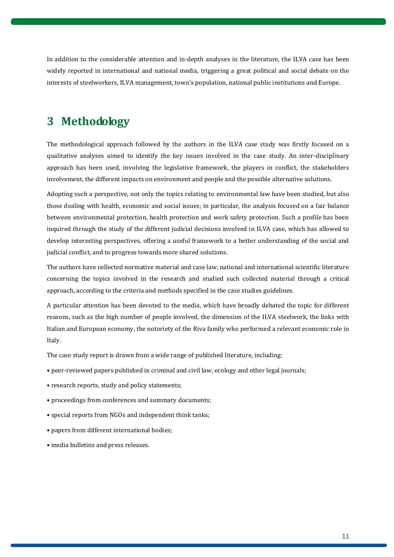In addition to the considerable attention and in-depth analyses in the literature, the ILVA case has been widely reported in international and national media, triggering a great political and social debate on the interests of steelworkers, ILVA management, town's population, national public institutions and Europe.

# <span id="page-10-0"></span>**3 Methodology**

The methodological approach followed by the authors in the ILVA case study was firstly focused on a qualitative analyses aimed to identify the key issues involved in the case study. An inter-disciplinary approach has been used, involving the legislative framework, the players in conflict, the stakeholders involvement, the different impacts on environment and people and the possible alternative solutions.

Adopting such a perspective, not only the topics relating to environmental law have been studied, but also those dealing with health, economic and social issues; in particular, the analysis focused on a fair balance between environmental protection, health protection and work safety protection. Such a profile has been inquired through the study of the different judicial decisions involved in ILVA case, which has allowed to develop interesting perspectives, offering a useful framework to a better understanding of the social and judicial conflict, and to progress towards more shared solutions.

The authors have collected normative material and case law, national and international scientific literature concerning the topics involved in the research and studied such collected material through a critical approach, according to the criteria and methods specified in the case studies guidelines.

A particular attention has been devoted to the media, which have broadly debated the topic for different reasons, such as the high number of people involved, the dimension of the ILVA steelwork, the links with Italian and European economy, the notoriety of the Riva family who performed a relevant economic role in Italy.

The case study report is drawn from a wide range of published literature, including:

- peer-reviewed papers published in criminal and civil law, ecology and other legal journals;
- research reports, study and policy statements;
- proceedings from conferences and summary documents;
- special reports from NGOs and independent think tanks;
- papers from different international bodies;
- media bulletins and press releases.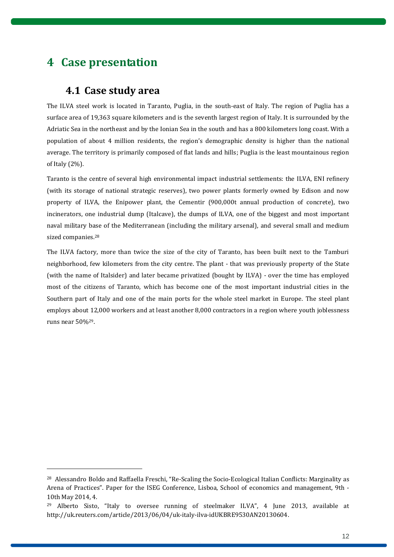# <span id="page-11-0"></span>**4 Case presentation**

 $\overline{a}$ 

### **4.1 Case study area**

<span id="page-11-1"></span>The ILVA steel work is located in Taranto, Puglia, in the south-east of Italy. The region of Puglia has a surface area of 19,363 square kilometers and is the seventh largest region of Italy. It is surrounded by the Adriatic Sea in the northeast and by the Ionian Sea in the south and has a 800 kilometers long coast. With a population of about 4 million residents, the region's demographic density is higher than the national average. The territory is primarily composed of flat lands and hills; Puglia is the least mountainous region of Italy (2%).

Taranto is the centre of several high environmental impact industrial settlements: the ILVA, ENI refinery (with its storage of national strategic reserves), two power plants formerly owned by Edison and now property of ILVA, the Enipower plant, the Cementir (900,000t annual production of concrete), two incinerators, one industrial dump (Italcave), the dumps of ILVA, one of the biggest and most important naval military base of the Mediterranean (including the military arsenal), and several small and medium sized companies.<sup>28</sup>

The ILVA factory, more than twice the size of the city of Taranto, has been built next to the Tamburi neighborhood, few kilometers from the city centre. The plant - that was previously property of the State (with the name of Italsider) and later became privatized (bought by ILVA) - over the time has employed most of the citizens of Taranto, which has become one of the most important industrial cities in the Southern part of Italy and one of the main ports for the whole steel market in Europe. The steel plant employs about 12,000 workers and at least another 8,000 contractors in a region where youth joblessness runs near 50%29.

<sup>28</sup> Alessandro Boldo and Raffaella Freschi, "Re-Scaling the Socio-Ecological Italian Conflicts: Marginality as Arena of Practices". Paper for the ISEG Conference, Lisboa, School of economics and management, 9th - 10th May 2014, 4.

<sup>29</sup> Alberto Sisto, "Italy to oversee running of steelmaker ILVA", 4 June 2013, available at http://uk.reuters.com/article/2013/06/04/uk-italy-ilva-idUKBRE9530AN20130604.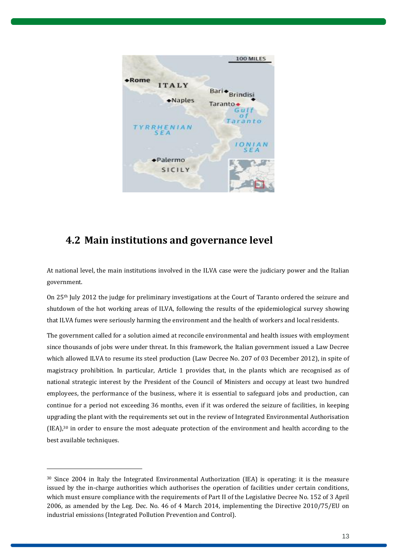

## <span id="page-12-0"></span>**4.2 Main institutions and governance level**

At national level, the main institutions involved in the ILVA case were the judiciary power and the Italian government.

On 25th July 2012 the judge for preliminary investigations at the Court of Taranto ordered the seizure and shutdown of the hot working areas of ILVA, following the results of the epidemiological survey showing that ILVA fumes were seriously harming the environment and the health of workers and local residents.

The government called for a solution aimed at reconcile environmental and health issues with employment since thousands of jobs were under threat. In this framework, the Italian government issued a Law Decree which allowed ILVA to resume its steel production (Law Decree No. 207 of 03 December 2012), in spite of magistracy prohibition. In particular, Article 1 provides that, in the plants which are recognised as of national strategic interest by the President of the Council of Ministers and occupy at least two hundred employees, the performance of the business, where it is essential to safeguard jobs and production, can continue for a period not exceeding 36 months, even if it was ordered the seizure of facilities, in keeping upgrading the plant with the requirements set out in the review of Integrated Environmental Authorisation  $(IEA)<sup>30</sup>$  in order to ensure the most adequate protection of the environment and health according to the best available techniques.

<sup>30</sup> Since 2004 in Italy the Integrated Environmental Authorization (IEA) is operating: it is the measure issued by the in-charge authorities which authorises the operation of facilities under certain conditions, which must ensure compliance with the requirements of Part II of the Legislative Decree No. 152 of 3 April 2006, as amended by the Leg. Dec. No. 46 of 4 March 2014, implementing the Directive 2010/75/EU on industrial emissions (Integrated Pollution Prevention and Control).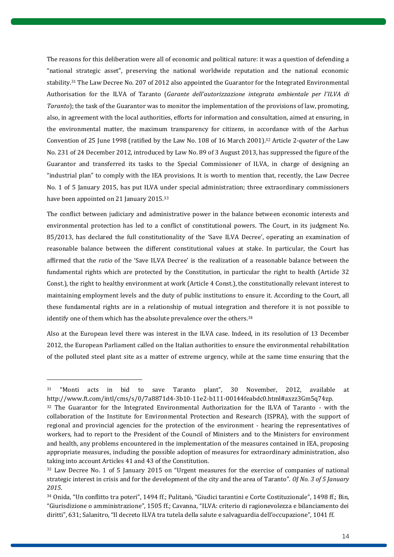The reasons for this deliberation were all of economic and political nature: it was a question of defending a "national strategic asset", preserving the national worldwide reputation and the national economic stability. <sup>31</sup> The Law Decree No. 207 of 2012 also appointed the Guarantor for the Integrated Environmental Authorisation for the ILVA of Taranto (*Garante dell'autorizzazione integrata ambientale per l'ILVA di Taranto*); the task of the Guarantor was to monitor the implementation of the provisions of law, promoting, also, in agreement with the local authorities, efforts for information and consultation, aimed at ensuring, in the environmental matter, the maximum transparency for citizens, in accordance with of the Aarhus Convention of 25 June 1998 (ratified by the Law No. 108 of 16 March 2001). <sup>32</sup> Article 2-*quater* of the Law No. 231 of 24 December 2012, introduced by Law No. 89 of 3 August 2013, has suppressed the figure of the Guarantor and transferred its tasks to the Special Commissioner of ILVA, in charge of designing an "industrial plan" to comply with the IEA provisions. It is worth to mention that, recently, the Law Decree No. 1 of 5 January 2015, has put ILVA under special administration; three extraordinary commissioners have been appointed on 21 January 2015.<sup>33</sup>

The conflict between judiciary and administrative power in the balance between economic interests and environmental protection has led to a conflict of constitutional powers. The Court, in its judgment No. 85/2013, has declared the full constitutionality of the 'Save ILVA Decree', operating an examination of reasonable balance between the different constitutional values at stake. In particular, the Court has affirmed that the *ratio* of the 'Save ILVA Decree' is the realization of a reasonable balance between the fundamental rights which are protected by the Constitution, in particular the right to health (Article 32 Const.), the right to healthy environment at work (Article 4 Const.), the constitutionally relevant interest to maintaining employment levels and the duty of public institutions to ensure it. According to the Court, all these fundamental rights are in a relationship of mutual integration and therefore it is not possible to identify one of them which has the absolute prevalence over the others. 34

Also at the European level there was interest in the ILVA case. Indeed, in its resolution of 13 December 2012, the European Parliament called on the Italian authorities to ensure the environmental rehabilitation of the polluted steel plant site as a matter of extreme urgency, while at the same time ensuring that the

<sup>31</sup> "Monti acts in bid to save Taranto plant", 30 November, 2012, available at [http://www.ft.com/intl/cms/s/0/7a8871d4-3b10-11e2-b111-00144feabdc0.html#axzz3Gm5q74zp.](http://www.ft.com/intl/cms/s/0/7a8871d4-3b10-11e2-b111-00144feabdc0.html#axzz3Gm5q74zp)

<sup>&</sup>lt;sup>32</sup> The Guarantor for the Integrated Environmental Authorization for the ILVA of Taranto - with the collaboration of the Institute for Environmental Protection and Research (ISPRA), with the support of regional and provincial agencies for the protection of the environment - hearing the representatives of workers, had to report to the President of the Council of Ministers and to the Ministers for environment and health, any problems encountered in the implementation of the measures contained in IEA, proposing appropriate measures, including the possible adoption of measures for extraordinary administration, also taking into account Articles 41 and 43 of the Constitution.

<sup>33</sup> Law Decree No. 1 of 5 January 2015 on "Urgent measures for the exercise of companies of national strategic interest in crisis and for the development of the city and the area of Taranto". *OJ No. 3 of 5 January 2015*.

<sup>34</sup> Onida, "Un conflitto tra poteri", 1494 ff.; Pulitanò, "Giudici tarantini e Corte Costituzionale", 1498 ff.; Bin, "Giurisdizione o amministrazione", 1505 ff.; Cavanna, "ILVA: criterio di ragionevolezza e bilanciamento dei diritti", 631; Salanitro, "Il decreto ILVA tra tutela della salute e salvaguardia dell'occupazione", 1041 ff.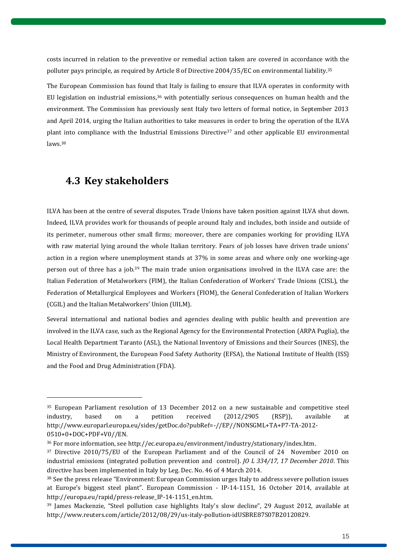costs incurred in relation to the preventive or remedial action taken are covered in accordance with the polluter pays principle, as required by Article 8 of Directive 2004/35/EC on environmental liability. 35

The European Commission has found that Italy is failing to ensure that ILVA operates in conformity with EU legislation on industrial emissions,<sup>36</sup> with potentially serious consequences on human health and the environment. The Commission has previously sent Italy two letters of formal notice, in September 2013 and April 2014, urging the Italian authorities to take measures in order to bring the operation of the ILVA plant into compliance with the Industrial Emissions Directive<sup>37</sup> and other applicable EU environmental laws. 38

### <span id="page-14-0"></span>**4.3 Key stakeholders**

 $\overline{a}$ 

ILVA has been at the centre of several disputes. Trade Unions have taken position against ILVA shut down. Indeed, ILVA provides work for thousands of people around Italy and includes, both inside and outside of its perimeter, numerous other small firms; moreover, there are companies working for providing ILVA with raw material lying around the whole Italian territory. Fears of job losses have driven trade unions' action in a region where unemployment stands at 37% in some areas and where only one working-age person out of three has a job. <sup>39</sup> The main trade union organisations involved in the ILVA case are: the Italian Federation of Metalworkers (FIM), the Italian Confederation of Workers' Trade Unions (CISL), the Federation of Metallurgical Employees and Workers (FIOM), the General Confederation of Italian Workers (CGIL) and the Italian Metalworkers' Union (UILM).

Several international and national bodies and agencies dealing with public health and prevention are involved in the ILVA case, such as the Regional Agency for the Environmental Protection (ARPA Puglia), the Local Health Department Taranto (ASL), the National Inventory of Emissions and their Sources (INES), the Ministry of Environment, the European Food Safety Authority (EFSA), the National Institute of Health (ISS) and the Food and Drug Administration (FDA).

<sup>35</sup> European Parliament resolution of 13 December 2012 on a new sustainable and competitive steel industry, based on a petition received (2012/2905 (RSP)), available at [http://www.europarl.europa.eu/sides/getDoc.do?pubRef=-//EP//NONSGML+TA+P7-TA-2012-](http://www.europarl.europa.eu/sides/getDoc.do?pubRef=-//EP//NONSGML+TA+P7-TA-2012-0510+0+DOC+PDF+V0//EN) [0510+0+DOC+PDF+V0//EN.](http://www.europarl.europa.eu/sides/getDoc.do?pubRef=-//EP//NONSGML+TA+P7-TA-2012-0510+0+DOC+PDF+V0//EN)

<sup>36</sup> For more information, see [http://ec.europa.eu/environment/industry/stationary/index.htm.](http://ec.europa.eu/environment/industry/stationary/index.htm)

<sup>37</sup> Directive 2010/75/EU of the European Parliament and of the Council of 24 November 2010 on industrial emissions (integrated pollution prevention and control). *JO L 334/17, 17 December 2010*. This directive has been implemented in Italy by Leg. Dec. No. 46 of 4 March 2014.

<sup>38</sup> See the press release "Environment: European Commission urges Italy to address severe pollution issues at Europe's biggest steel plant". European Commission - IP-14-1151, 16 October 2014, available at [http://europa.eu/rapid/press-release\\_IP-14-1151\\_en.htm.](http://europa.eu/rapid/press-release_IP-14-1151_en.htm) 

<sup>39</sup> James Mackenzie, "Steel pollution case highlights Italy's slow decline", 29 August 2012, available at http://www.reuters.com/article/2012/08/29/us-italy-pollution-idUSBRE87S07B20120829.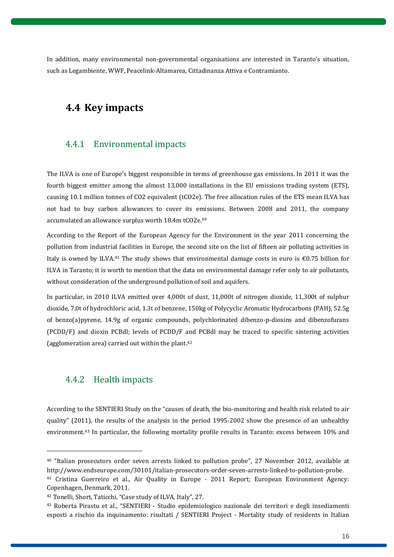In addition, many environmental non-governmental organisations are interested in Taranto's situation, such as Legambiente, WWF, Peacelink-Altamarea, Cittadinanza Attiva e Contramianto.

## <span id="page-15-0"></span>**4.4 Key impacts**

### <span id="page-15-1"></span>4.4.1 Environmental impacts

The ILVA is one of Europe's biggest responsible in terms of greenhouse gas emissions. In 2011 it was the fourth biggest emitter among the almost 13,000 installations in the EU emissions trading system (ETS), causing 10.1 million tonnes of CO2 equivalent (tCO2e). The free allocation rules of the ETS mean ILVA has not had to buy carbon allowances to cover its emissions. Between 2008 and 2011, the company accumulated an allowance surplus worth 18.4m tCO2e. 40

According to the Report of the European Agency for the Environment in the year 2011 concerning the pollution from industrial facilities in Europe, the second site on the list of fifteen air polluting activities in Italy is owned by ILVA.<sup>41</sup> The study shows that environmental damage costs in euro is  $\epsilon$ 0.75 billion for ILVA in Taranto; it is worth to mention that the data on environmental damage refer only to air pollutants, without consideration of the underground pollution of soil and aquifers.

In particular, in 2010 ILVA emitted over 4,000t of dust, 11,000t of nitrogen dioxide, 11,300t of sulphur dioxide, 7.0t of hydrochloric acid, 1.3t of benzene, 150kg of Polycyclic Aromatic Hydrocarbons (PAH), 52.5g of benzo(a)pyrene, 14.9g of organic compounds, polychlorinated dibenzo-p-dioxins and dibenzofurans (PCDD/F) and dioxin PCBdl; levels of PCDD/F and PCBdl may be traced to specific sintering activities (agglomeration area) carried out within the plant. 42

#### <span id="page-15-2"></span>4.4.2 Health impacts

 $\overline{a}$ 

According to the SENTIERI Study on the "causes of death, the bio-monitoring and health risk related to air quality" (2011), the results of the analysis in the period 1995-2002 show the presence of an unhealthy environment. <sup>43</sup> In particular, the following mortality profile results in Taranto: excess between 10% and

<sup>40</sup> "Italian prosecutors order seven arrests linked to pollution probe", 27 November 2012, available at [http://www.endseurope.com/30101/italian-prosecutors-order-seven-arrests-linked-to-pollution-probe.](http://www.endseurope.com/30101/italian-prosecutors-order-seven-arrests-linked-to-pollution-probe) 

<sup>41</sup> Cristina Guerreiro et al., Air Quality in Europe - 2011 Report; European Environment Agency: Copenhagen, Denmark, 2011.

<sup>42</sup> Tonelli, Short, Taticchi, "Case study of ILVA, Italy", 27.

<sup>43</sup> Roberta Pirastu et al., "SENTIERI - Studio epidemiologico nazionale dei territori e degli insediamenti esposti a rischio da inquinamento: risultati / SENTIERI Project - Mortality study of residents in Italian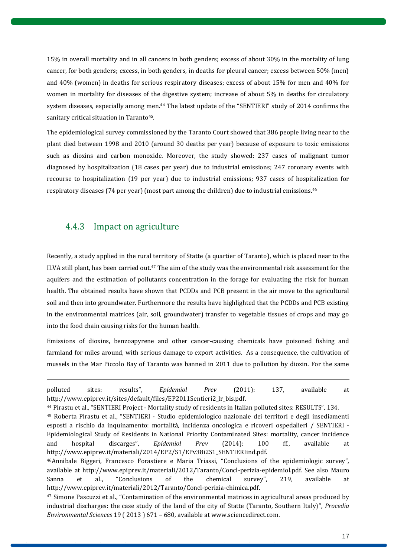15% in overall mortality and in all cancers in both genders; excess of about 30% in the mortality of lung cancer, for both genders; excess, in both genders, in deaths for pleural cancer; excess between 50% (men) and 40% (women) in deaths for serious respiratory diseases; excess of about 15% for men and 40% for women in mortality for diseases of the digestive system; increase of about 5% in deaths for circulatory system diseases, especially among men.<sup>44</sup> The latest update of the "SENTIERI" study of 2014 confirms the sanitary critical situation in Taranto<sup>45</sup>.

The epidemiological survey commissioned by the Taranto Court showed that 386 people living near to the plant died between 1998 and 2010 (around 30 deaths per year) because of exposure to toxic emissions such as dioxins and carbon monoxide. Moreover, the study showed: 237 cases of malignant tumor diagnosed by hospitalization (18 cases per year) due to industrial emissions; 247 coronary events with recourse to hospitalization (19 per year) due to industrial emissions; 937 cases of hospitalization for respiratory diseases (74 per year) (most part among the children) due to industrial emissions. 46

### <span id="page-16-0"></span>4.4.3 Impact on agriculture

 $\overline{a}$ 

Recently, a study applied in the rural territory of Statte (a quartier of Taranto), which is placed near to the ILVA still plant, has been carried out.<sup>47</sup> The aim of the study was the environmental risk assessment for the aquifers and the estimation of pollutants concentration in the forage for evaluating the risk for human health. The obtained results have shown that PCDDs and PCB present in the air move to the agricultural soil and then into groundwater. Furthermore the results have highlighted that the PCDDs and PCB existing in the environmental matrices (air, soil, groundwater) transfer to vegetable tissues of crops and may go into the food chain causing risks for the human health.

Emissions of dioxins, benzoapyrene and other cancer-causing chemicals have poisoned fishing and farmland for miles around, with serious damage to export activities. As a consequence, the cultivation of mussels in the Mar Piccolo Bay of Taranto was banned in 2011 due to pollution by dioxin. For the same

polluted sites: results", *Epidemiol Prev* (2011): 137, available at http://www.epiprev.it/sites/default/files/EP2011Sentieri2\_lr\_bis.pdf.

<sup>44</sup> Pirastu et al., "SENTIERI Project - Mortality study of residents in Italian polluted sites: RESULTS", 134. <sup>45</sup> Roberta Pirastu et al., "SENTIERI - Studio epidemiologico nazionale dei territori e degli insediamenti esposti a rischio da inquinamento: mortalità, incidenza oncologica e ricoveri ospedalieri / SENTIERI - Epidemiological Study of Residents in National Priority Contaminated Sites: mortality, cancer incidence

and hospital discarges", *Epidemiol Prev* (2014): 100 ff., available at http://www.epiprev.it/materiali/2014/EP2/S1/EPv38i2S1\_SENTIERIind.pdf. <sup>46</sup>Annibale Biggeri, Francesco Forastiere e Maria Triassi, "Conclusions of the epidemiologic survey", available at http://www.epiprev.it/materiali/2012/Taranto/Concl-perizia-epidemiol.pdf. See also Mauro Sanna et al., "Conclusions of the chemical survey", 219, available at [http://www.epiprev.it/materiali/2012/Taranto/Concl-perizia-chimica.pdf.](http://www.epiprev.it/materiali/2012/Taranto/Concl-perizia-chimica.pdf) 

<sup>&</sup>lt;sup>47</sup> Simone Pascuzzi et al., "Contamination of the environmental matrices in agricultural areas produced by industrial discharges: the case study of the land of the city of Statte (Taranto, Southern Italy)", *Procedia Environmental Sciences* 19 ( 2013 ) 671 – 680, available at www.sciencedirect.com.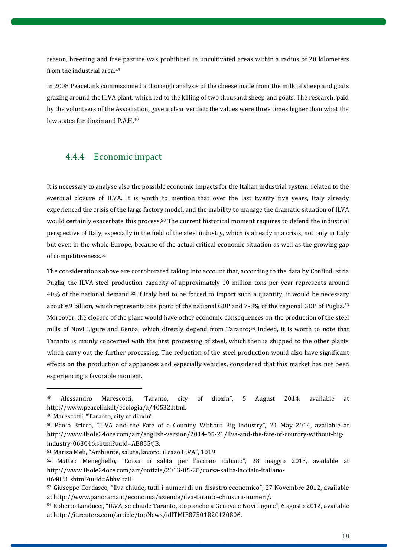reason, breeding and free pasture was prohibited in uncultivated areas within a radius of 20 kilometers from the industrial area. 48

In 2008 PeaceLink commissioned a thorough analysis of the cheese made from the milk of sheep and goats grazing around the ILVA plant, which led to the killing of two thousand sheep and goats. The research, paid by the volunteers of the Association, gave a clear verdict: the values were three times higher than what the law states for dioxin and P.A.H.<sup>49</sup>

### <span id="page-17-0"></span>4.4.4 Economic impact

It is necessary to analyse also the possible economic impacts for the Italian industrial system, related to the eventual closure of ILVA. It is worth to mention that over the last twenty five years, Italy already experienced the crisis of the large factory model, and the inability to manage the dramatic situation of ILVA would certainly exacerbate this process. <sup>50</sup> The current historical moment requires to defend the industrial perspective of Italy, especially in the field of the steel industry, which is already in a crisis, not only in Italy but even in the whole Europe, because of the actual critical economic situation as well as the growing gap of competitiveness. 51

The considerations above are corroborated taking into account that, according to the data by Confindustria Puglia, the ILVA steel production capacity of approximately 10 million tons per year represents around 40% of the national demand.<sup>52</sup> If Italy had to be forced to import such a quantity, it would be necessary about €9 billion, which represents one point of the national GDP and 7-8% of the regional GDP of Puglia.<sup>53</sup> Moreover, the closure of the plant would have other economic consequences on the production of the steel mills of Novi Ligure and Genoa, which directly depend from Taranto; <sup>54</sup> indeed, it is worth to note that Taranto is mainly concerned with the first processing of steel, which then is shipped to the other plants which carry out the further processing. The reduction of the steel production would also have significant effects on the production of appliances and especially vehicles, considered that this market has not been experiencing a favorable moment.

<sup>&</sup>lt;sup>48</sup> Alessandro Marescotti, "Taranto, city of dioxin", 5 August 2014, available at http://www.peacelink.it/ecologia/a/40532.html.

<sup>49</sup> Marescotti, "Taranto, city of dioxin".

<sup>50</sup> Paolo Bricco, "ILVA and the Fate of a Country Without Big Industry", 21 May 2014, available at http://www.ilsole24ore.com/art/english-version/2014-05-21/ilva-and-the-fate-of-country-without-bigindustry-063046.shtml?uuid=AB855tIB.

<sup>51</sup> Marisa Meli, "Ambiente, salute, lavoro: il caso ILVA", 1019.

<sup>52</sup> Matteo Meneghello, "Corsa in salita per l'acciaio italiano", 28 maggio 2013, available at [http://www.ilsole24ore.com/art/notizie/2013-05-28/corsa-salita-lacciaio-italiano-](http://www.ilsole24ore.com/art/notizie/2013-05-28/corsa-salita-lacciaio-italiano-064031.shtml?uuid=AbhvItzH)[064031.shtml?uuid=AbhvItzH.](http://www.ilsole24ore.com/art/notizie/2013-05-28/corsa-salita-lacciaio-italiano-064031.shtml?uuid=AbhvItzH) 

<sup>53</sup> Giuseppe Cordasco, "Ilva chiude, tutti i numeri di un disastro economico", 27 Novembre 2012, available at http://www.panorama.it/economia/aziende/ilva-taranto-chiusura-numeri/.

<sup>54</sup> Roberto Landucci, "ILVA, se chiude Taranto, stop anche a Genova e Novi Ligure", 6 agosto 2012, available a[t http://it.reuters.com/article/topNews/idITMIE87501R20120806.](http://it.reuters.com/article/topNews/idITMIE87501R20120806)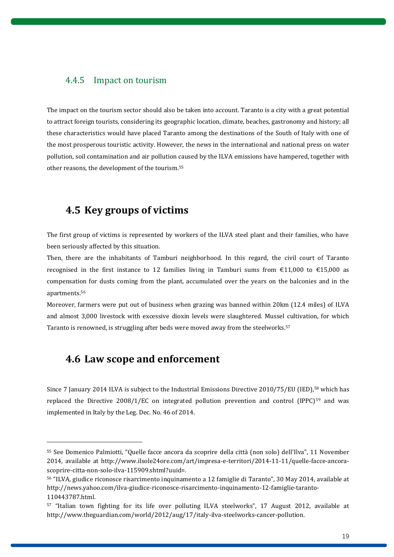### <span id="page-18-0"></span>4.4.5 Impact on tourism

The impact on the tourism sector should also be taken into account. Taranto is a city with a great potential to attract foreign tourists, considering its geographic location, climate, beaches, gastronomy and history; all these characteristics would have placed Taranto among the destinations of the South of Italy with one of the most prosperous touristic activity. However, the news in the international and national press on water pollution, soil contamination and air pollution caused by the ILVA emissions have hampered, together with other reasons, the development of the tourism. 55

### <span id="page-18-1"></span>**4.5 Key groups of victims**

The first group of victims is represented by workers of the ILVA steel plant and their families, who have been seriously affected by this situation.

Then, there are the inhabitants of Tamburi neighborhood. In this regard, the civil court of Taranto recognised in the first instance to 12 families living in Tamburi sums from  $\epsilon$ 11,000 to  $\epsilon$ 15,000 as compensation for dusts coming from the plant, accumulated over the years on the balconies and in the apartments. 56

Moreover, farmers were put out of business when grazing was banned within 20km (12.4 miles) of ILVA and almost 3,000 livestock with excessive dioxin levels were slaughtered. Mussel cultivation, for which Taranto is renowned, is struggling after beds were moved away from the steelworks. 57

### <span id="page-18-2"></span>**4.6 Law scope and enforcement**

 $\overline{a}$ 

Since 7 January 2014 ILVA is subject to the Industrial Emissions Directive 2010/75/EU (IED),<sup>58</sup> which has replaced the Directive  $2008/1/EC$  on integrated pollution prevention and control (IPPC)<sup>59</sup> and was implemented in Italy by the Leg. Dec. No. 46 of 2014.

<sup>55</sup> See Domenico Palmiotti, "Quelle facce ancora da scoprire della città (non solo) dell'Ilva", 11 November 2014, available at http://www.ilsole24ore.com/art/impresa-e-territori/2014-11-11/quelle-facce-ancorascoprire-citta-non-solo-ilva-115909.shtml?uuid=.

<sup>56</sup> "ILVA, giudice riconosce risarcimento inquinamento a 12 famiglie di Taranto", 30 May 2014, available at [http://news.yahoo.com/ilva-giudice-riconosce-risarcimento-inquinamento-12-famiglie-taranto-](http://news.yahoo.com/ilva-giudice-riconosce-risarcimento-inquinamento-12-famiglie-taranto-110443787.html)[110443787.html.](http://news.yahoo.com/ilva-giudice-riconosce-risarcimento-inquinamento-12-famiglie-taranto-110443787.html) 

<sup>57</sup> "Italian town fighting for its life over polluting ILVA steelworks", 17 August 2012, available at [http://www.theguardian.com/world/2012/aug/17/italy-ilva-steelworks-cancer-pollution.](http://www.theguardian.com/world/2012/aug/17/italy-ilva-steelworks-cancer-pollution)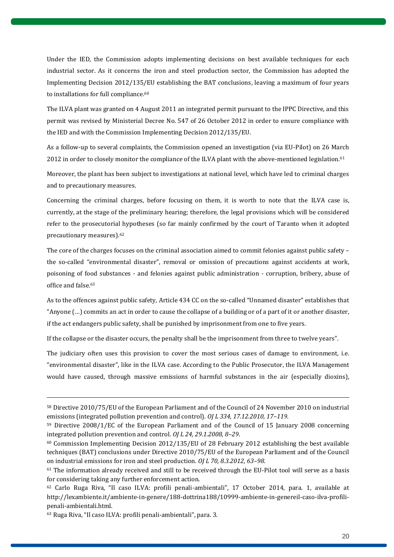Under the IED, the Commission adopts implementing decisions on best available techniques for each industrial sector. As it concerns the iron and steel production sector, the Commission has adopted the Implementing Decision 2012/135/EU establishing the BAT conclusions, leaving a maximum of four years to installations for full compliance.<sup>60</sup>

The ILVA plant was granted on 4 August 2011 an integrated permit pursuant to the IPPC Directive, and this permit was revised by Ministerial Decree No. 547 of 26 October 2012 in order to ensure compliance with the IED and with the Commission Implementing Decision 2012/135/EU.

As a follow-up to several complaints, the Commission opened an investigation (via EU-Pilot) on 26 March 2012 in order to closely monitor the compliance of the ILVA plant with the above-mentioned legislation.<sup>61</sup>

Moreover, the plant has been subject to investigations at national level, which have led to criminal charges and to precautionary measures.

Concerning the criminal charges, before focusing on them, it is worth to note that the ILVA case is, currently, at the stage of the preliminary hearing; therefore, the legal provisions which will be considered refer to the prosecutorial hypotheses (so far mainly confirmed by the court of Taranto when it adopted precautionary measures). 62

The core of the charges focuses on the criminal association aimed to commit felonies against public safety – the so-called "environmental disaster", removal or omission of precautions against accidents at work, poisoning of food substances - and felonies against public administration - corruption, bribery, abuse of office and false. 63

As to the offences against public safety, Article 434 CC on the so-called "Unnamed disaster" establishes that "Anyone (…) commits an act in order to cause the collapse of a building or of a part of it or another disaster, if the act endangers public safety, shall be punished by imprisonment from one to five years.

If the collapse or the disaster occurs, the penalty shall be the imprisonment from three to twelve years".

The judiciary often uses this provision to cover the most serious cases of damage to environment, i.e. "environmental disaster", like in the ILVA case. According to the Public Prosecutor, the ILVA Management would have caused, through massive emissions of harmful substances in the air (especially dioxins),

<sup>58</sup> Directive 2010/75/EU of the European Parliament and of the Council of 24 November 2010 on industrial emissions (integrated pollution prevention and control). *OJ L 334, 17.12.2010, 17–119*.

<sup>59</sup> Directive 2008/1/EC of the European Parliament and of the Council of 15 January 2008 concerning integrated pollution prevention and control. *OJ L 24, 29.1.2008, 8–29*.

 $60$  Commission Implementing Decision 2012/135/EU of 28 February 2012 establishing the best available techniques (BAT) conclusions under Directive 2010/75/EU of the European Parliament and of the Council on industrial emissions for iron and steel production. *OJ L 70, 8.3.2012, 63–98*.

 $61$  The information already received and still to be received through the EU-Pilot tool will serve as a basis for considering taking any further enforcement action.

<sup>62</sup> Carlo Ruga Riva, "Il caso ILVA: profili penali-ambientali", 17 October 2014, para. 1, available at [http://lexambiente.it/ambiente-in-genere/188-dottrina188/10999-ambiente-in-genereil-caso-ilva-profili](http://lexambiente.it/ambiente-in-genere/188-dottrina188/10999-ambiente-in-genereil-caso-ilva-profili-penali-ambientali.html)[penali-ambientali.html.](http://lexambiente.it/ambiente-in-genere/188-dottrina188/10999-ambiente-in-genereil-caso-ilva-profili-penali-ambientali.html)

<sup>63</sup> Ruga Riva, "Il caso ILVA: profili penali-ambientali", para. 3.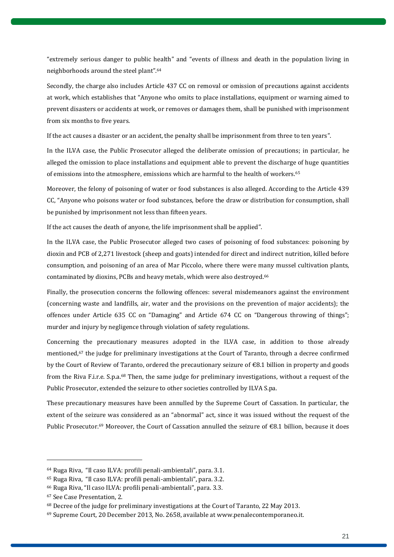"extremely serious danger to public health" and "events of illness and death in the population living in neighborhoods around the steel plant". 64

Secondly, the charge also includes Article 437 CC on removal or omission of precautions against accidents at work, which establishes that "Anyone who omits to place installations, equipment or warning aimed to prevent disasters or accidents at work, or removes or damages them, shall be punished with imprisonment from six months to five years.

If the act causes a disaster or an accident, the penalty shall be imprisonment from three to ten years".

In the ILVA case, the Public Prosecutor alleged the deliberate omission of precautions; in particular, he alleged the omission to place installations and equipment able to prevent the discharge of huge quantities of emissions into the atmosphere, emissions which are harmful to the health of workers. 65

Moreover, the felony of poisoning of water or food substances is also alleged. According to the Article 439 CC, "Anyone who poisons water or food substances, before the draw or distribution for consumption, shall be punished by imprisonment not less than fifteen years.

If the act causes the death of anyone, the life imprisonment shall be applied".

In the ILVA case, the Public Prosecutor alleged two cases of poisoning of food substances: poisoning by dioxin and PCB of 2,271 livestock (sheep and goats) intended for direct and indirect nutrition, killed before consumption, and poisoning of an area of Mar Piccolo, where there were many mussel cultivation plants, contaminated by dioxins, PCBs and heavy metals, which were also destroyed. 66

Finally, the prosecution concerns the following offences: several misdemeanors against the environment (concerning waste and landfills, air, water and the provisions on the prevention of major accidents); the offences under Article 635 CC on "Damaging" and Article 674 CC on "Dangerous throwing of things"; murder and injury by negligence through violation of safety regulations.

Concerning the precautionary measures adopted in the ILVA case, in addition to those already mentioned,<sup>67</sup> the judge for preliminary investigations at the Court of Taranto, through a decree confirmed by the Court of Review of Taranto, ordered the precautionary seizure of €8.1 billion in property and goods from the Riva F.i.r.e. S.p.a.<sup>68</sup> Then, the same judge for preliminary investigations, without a request of the Public Prosecutor, extended the seizure to other societies controlled by ILVA S.pa.

These precautionary measures have been annulled by the Supreme Court of Cassation. In particular, the extent of the seizure was considered as an "abnormal" act, since it was issued without the request of the Public Prosecutor.<sup>69</sup> Moreover, the Court of Cassation annulled the seizure of €8.1 billion, because it does

<sup>64</sup> Ruga Riva, "Il caso ILVA: profili penali-ambientali", para. 3.1.

<sup>65</sup> Ruga Riva, "Il caso ILVA: profili penali-ambientali", para. 3.2.

<sup>66</sup> Ruga Riva, "Il caso ILVA: profili penali-ambientali", para. 3.3.

<sup>67</sup> See Case Presentation, 2.

<sup>68</sup> Decree of the judge for preliminary investigations at the Court of Taranto, 22 May 2013.

<sup>69</sup> Supreme Court, 20 December 2013, No. 2658, available at [www.penalecontemporaneo.it.](http://www.penalecontemporaneo.it/)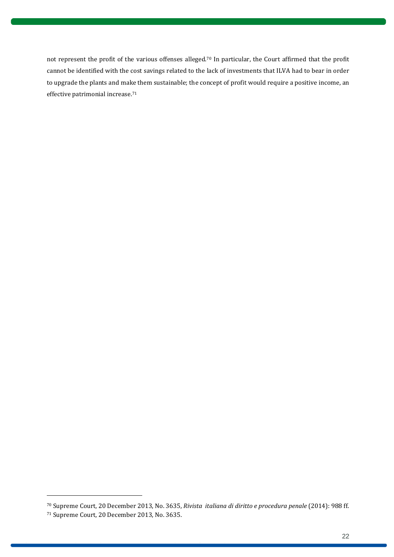not represent the profit of the various offenses alleged.<sup>70</sup> In particular, the Court affirmed that the profit cannot be identified with the cost savings related to the lack of investments that ILVA had to bear in order to upgrade the plants and make them sustainable; the concept of profit would require a positive income, an effective patrimonial increase. 71

<sup>70</sup> Supreme Court, 20 December 2013, No. 3635, *Rivista italiana di diritto e procedura penale* (2014): 988 ff. <sup>71</sup> Supreme Court, 20 December 2013, No. 3635.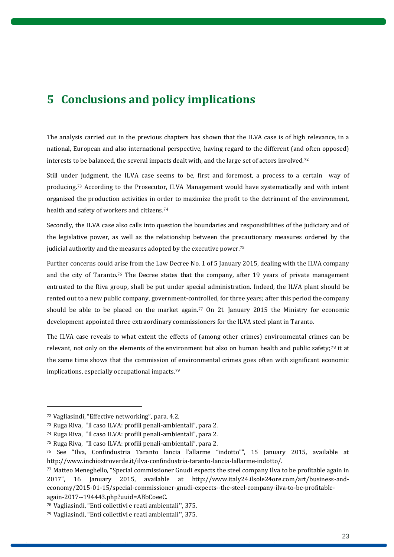# <span id="page-22-0"></span>**5 Conclusions and policy implications**

The analysis carried out in the previous chapters has shown that the ILVA case is of high relevance, in a national, European and also international perspective, having regard to the different (and often opposed) interests to be balanced, the several impacts dealt with, and the large set of actors involved.<sup>72</sup>

Still under judgment, the ILVA case seems to be, first and foremost, a process to a certain way of producing.<sup>73</sup> According to the Prosecutor, ILVA Management would have systematically and with intent organised the production activities in order to maximize the profit to the detriment of the environment, health and safety of workers and citizens. 74

Secondly, the ILVA case also calls into question the boundaries and responsibilities of the judiciary and of the legislative power, as well as the relationship between the precautionary measures ordered by the judicial authority and the measures adopted by the executive power.<sup>75</sup>

Further concerns could arise from the Law Decree No. 1 of 5 January 2015, dealing with the ILVA company and the city of Taranto.<sup>76</sup> The Decree states that the company, after 19 years of private management entrusted to the Riva group, shall be put under special administration. Indeed, the ILVA plant should be rented out to a new public company, government-controlled, for three years; after this period the company should be able to be placed on the market again. <sup>77</sup> On 21 January 2015 the Ministry for economic development appointed three extraordinary commissioners for the ILVA steel plant in Taranto.

The ILVA case reveals to what extent the effects of (among other crimes) environmental crimes can be relevant, not only on the elements of the environment but also on human health and public safety;<sup>78</sup> it at the same time shows that the commission of environmental crimes goes often with significant economic implications, especially occupational impacts.<sup>79</sup>

<sup>72</sup> Vagliasindi, "Effective networking", para. 4.2.

<sup>73</sup> Ruga Riva, "Il caso ILVA: profili penali-ambientali", para 2.

<sup>74</sup> Ruga Riva, "Il caso ILVA: profili penali-ambientali", para 2.

<sup>75</sup> Ruga Riva, "Il caso ILVA: profili penali-ambientali", para 2.

<sup>76</sup> See "Ilva, Confindustria Taranto lancia l'allarme "indotto"", 15 January 2015, available at http://www.inchiostroverde.it/ilva-confindustria-taranto-lancia-lallarme-indotto/.

<sup>77</sup> Matteo Meneghello, "Special commissioner Gnudi expects the steel company Ilva to be profitable again in 2017", 16 January 2015, available at [http://www.italy24.ilsole24ore.com/art/business-and](http://www.italy24.ilsole24ore.com/art/business-and-economy/2015-01-15/special-commissioner-gnudi-expects--the-steel-company-ilva-to-be-profitable-again-2017--194443.php?uuid=ABbCoeeC)[economy/2015-01-15/special-commissioner-gnudi-expects--the-steel-company-ilva-to-be-profitable](http://www.italy24.ilsole24ore.com/art/business-and-economy/2015-01-15/special-commissioner-gnudi-expects--the-steel-company-ilva-to-be-profitable-again-2017--194443.php?uuid=ABbCoeeC)[again-2017--194443.php?uuid=ABbCoeeC.](http://www.italy24.ilsole24ore.com/art/business-and-economy/2015-01-15/special-commissioner-gnudi-expects--the-steel-company-ilva-to-be-profitable-again-2017--194443.php?uuid=ABbCoeeC) 

<sup>78</sup> Vagliasindi, "Enti collettivi e reati ambientali", 375.

<sup>79</sup> Vagliasindi, "Enti collettivi e reati ambientali", 375.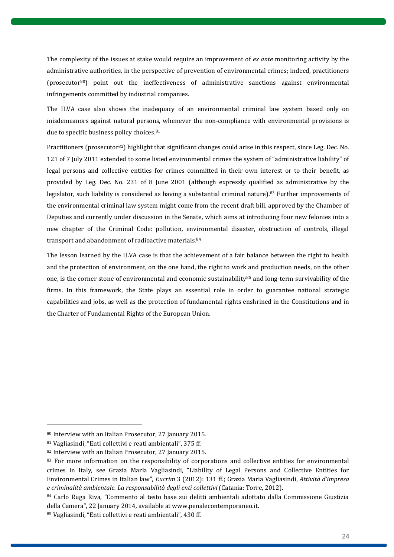The complexity of the issues at stake would require an improvement of *ex ante* monitoring activity by the administrative authorities, in the perspective of prevention of environmental crimes; indeed, practitioners (prosecutor80) point out the ineffectiveness of administrative sanctions against environmental infringements committed by industrial companies.

The ILVA case also shows the inadequacy of an environmental criminal law system based only on misdemeanors against natural persons, whenever the non-compliance with environmental provisions is due to specific business policy choices.<sup>81</sup>

Practitioners (prosecutor82) highlight that significant changes could arise in this respect, since Leg. Dec. No. 121 of 7 July 2011 extended to some listed environmental crimes the system of "administrative liability" of legal persons and collective entities for crimes committed in their own interest or to their benefit, as provided by Leg. Dec. No. 231 of 8 June 2001 (although expressly qualified as administrative by the legislator, such liability is considered as having a substantial criminal nature).<sup>83</sup> Further improvements of the environmental criminal law system might come from the recent draft bill, approved by the Chamber of Deputies and currently under discussion in the Senate, which aims at introducing four new felonies into a new chapter of the Criminal Code: pollution, environmental disaster, obstruction of controls, illegal transport and abandonment of radioactive materials.<sup>84</sup>

The lesson learned by the ILVA case is that the achievement of a fair balance between the right to health and the protection of environment, on the one hand, the right to work and production needs, on the other one, is the corner stone of environmental and economic sustainability<sup>85</sup> and long-term survivability of the firms. In this framework, the State plays an essential role in order to guarantee national strategic capabilities and jobs, as well as the protection of fundamental rights enshrined in the Constitutions and in the Charter of Fundamental Rights of the European Union.

<sup>80</sup> Interview with an Italian Prosecutor, 27 January 2015.

<sup>81</sup> Vagliasindi, "Enti collettivi e reati ambientali", 375 ff.

<sup>82</sup> Interview with an Italian Prosecutor, 27 January 2015.

<sup>&</sup>lt;sup>83</sup> For more information on the responsibility of corporations and collective entities for environmental crimes in Italy, see Grazia Maria Vagliasindi, "Liability of Legal Persons and Collective Entities for Environmental Crimes in Italian law", *Eucrim* 3 (2012): 131 ff.; Grazia Maria Vagliasindi, *Attività d'impresa e criminalità ambientale. La responsabilità degli enti collettivi* (Catania: Torre, 2012).

<sup>84</sup> Carlo Ruga Riva, "Commento al testo base sui delitti ambientali adottato dalla Commissione Giustizia della Camera", 22 January 2014, available at www.penalecontemporaneo.it.

<sup>85</sup> Vagliasindi, "Enti collettivi e reati ambientali", 430 ff.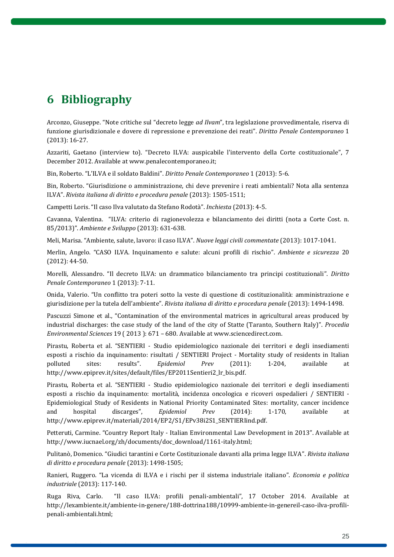# <span id="page-24-0"></span>**6 Bibliography**

Arconzo, Giuseppe. "Note critiche sul "decreto legge *ad Ilvam*", tra legislazione provvedimentale, riserva di funzione giurisdizionale e dovere di repressione e prevenzione dei reati". *Diritto Penale [Contemporaneo](http://www.penalecontemporaneo.it/)* 1 (2013): 16-27.

Azzariti, Gaetano (interview to). "Decreto ILVA: auspicabile l'intervento della Corte costituzionale", 7 December 2012. Available at [www.penalecontemporaneo.it;](http://www.penalecontemporaneo.it/)

Bin, Roberto. "L'ILVA e il soldato Baldini". *Diritto Penale Contemporaneo* 1 (2013): 5-6.

Bin, Roberto. "Giurisdizione o amministrazione, chi deve prevenire i reati ambientali? Nota alla sentenza ILVA". *Rivista italiana di diritto e procedura penale* (2013): 1505-1511;

Campetti Loris. "Il caso Ilva valutato da Stefano Rodotà". *Inchiesta* (2013): 4-5.

Cavanna, Valentina. "ILVA: criterio di ragionevolezza e bilanciamento dei diritti (nota a Corte Cost. n. 85/2013)". *Ambiente e Sviluppo* (2013): 631-638.

Meli, Marisa. "Ambiente, salute, lavoro: il caso ILVA". *Nuove leggi civili commentate* (2013): 1017-1041.

Merlin, Angelo. "CASO ILVA. Inquinamento e salute: alcuni profili di rischio". *Ambiente e sicurezza* 20 (2012): 44-50.

Morelli, Alessandro. "Il decreto ILVA: un drammatico bilanciamento tra principi costituzionali". *Diritto Penale Contemporaneo* 1 (2013): 7-11.

Onida, Valerio. "Un conflitto tra poteri sotto la veste di questione di costituzionalità: amministrazione e giurisdizione per la tutela dell'ambiente". *Rivista italiana di diritto e procedura penale* (2013): 1494-1498.

Pascuzzi Simone et al., "Contamination of the environmental matrices in agricultural areas produced by industrial discharges: the case study of the land of the city of Statte (Taranto, Southern Italy)". *Procedia Environmental Sciences* 19 ( 2013 ): 671 – 680. Available at www.sciencedirect.com.

Pirastu, Roberta et al. "SENTIERI - Studio epidemiologico nazionale dei territori e degli insediamenti esposti a rischio da inquinamento: risultati / SENTIERI Project - Mortality study of residents in Italian polluted sites: results". *Epidemiol Prev* (2011): 1-204, available at [http://www.epiprev.it/sites/default/files/EP2011Sentieri2\\_lr\\_bis.pdf.](http://www.epiprev.it/sites/default/files/EP2011Sentieri2_lr_bis.pdf)

Pirastu, Roberta et al. "SENTIERI - Studio epidemiologico nazionale dei territori e degli insediamenti esposti a rischio da inquinamento: mortalità, incidenza oncologica e ricoveri ospedalieri / SENTIERI - Epidemiological Study of Residents in National Priority Contaminated Sites: mortality, cancer incidence and hospital discarges", *Epidemiol Prev* (2014): 1-170, available at http://www.epiprev.it/materiali/2014/EP2/S1/EPv38i2S1\_SENTIERIind.pdf.

Petteruti, Carmine. "Country Report Italy - Italian Environmental Law Development in 2013". Available at [http://www.iucnael.org/zh/documents/doc\\_download/1161-italy.html;](http://www.iucnael.org/zh/documents/doc_download/1161-italy.html)

Pulitanò, Domenico. "Giudici tarantini e Corte Costituzionale davanti alla prima legge ILVA". *Rivista italiana di diritto e procedura penale* (2013): 1498-1505;

Ranieri, Ruggero. "La vicenda di ILVA e i rischi per il sistema industriale italiano". *Economia e politica industriale* (2013): 117-140.

Ruga Riva, Carlo. "Il caso ILVA: profili penali-ambientali", 17 October 2014. Available at [http://lexambiente.it/ambiente-in-genere/188-dottrina188/10999-ambiente-in-genereil-caso-ilva-profili](http://lexambiente.it/ambiente-in-genere/188-dottrina188/10999-ambiente-in-genereil-caso-ilva-profili-penali-ambientali.html)[penali-ambientali.html;](http://lexambiente.it/ambiente-in-genere/188-dottrina188/10999-ambiente-in-genereil-caso-ilva-profili-penali-ambientali.html)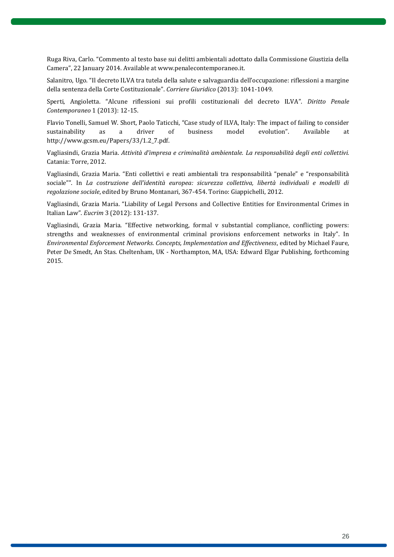Ruga Riva, Carlo. "Commento al testo base sui delitti ambientali adottato dalla Commissione Giustizia della Camera", 22 January 2014. Available at www.penalecontemporaneo.it.

Salanitro, Ugo. "Il decreto ILVA tra tutela della salute e salvaguardia dell'occupazione: riflessioni a margine della sentenza della Corte Costituzionale". *Corriere Giuridico* (2013): 1041-1049.

Sperti, Angioletta. "Alcune riflessioni sui profili costituzionali del decreto ILVA". *Diritto Penale Contemporaneo* 1 (2013): 12-15.

Flavio Tonelli, Samuel W. Short, Paolo Taticchi, "Case study of ILVA, Italy: The impact of failing to consider sustainability as a driver of business model evolution". Available at [http://www.gcsm.eu/Papers/33/1.2\\_7.pdf.](http://www.gcsm.eu/Papers/33/1.2_7.pdf)

Vagliasindi, Grazia Maria. *Attività d'impresa e criminalità ambientale. La responsabilità degli enti collettivi.* Catania: Torre, 2012.

Vagliasindi, Grazia Maria. "Enti collettivi e reati ambientali tra responsabilità "penale" e "responsabilità sociale"". In *La costruzione dell'identità europea: sicurezza collettiva, libertà individuali e modelli di regolazione sociale*, edited by Bruno Montanari, 367-454. Torino: Giappichelli, 2012.

Vagliasindi, Grazia Maria. "Liability of Legal Persons and Collective Entities for Environmental Crimes in Italian Law". *Eucrim* 3 (2012): 131-137.

Vagliasindi, Grazia Maria. "Effective networking, formal v substantial compliance, conflicting powers: strengths and weaknesses of environmental criminal provisions enforcement networks in Italy". In *Environmental Enforcement Networks. Concepts, Implementation and Effectiveness*, edited by Michael Faure, Peter De Smedt, An Stas. Cheltenham, UK - Northampton, MA, USA: Edward Elgar Publishing, forthcoming 2015.